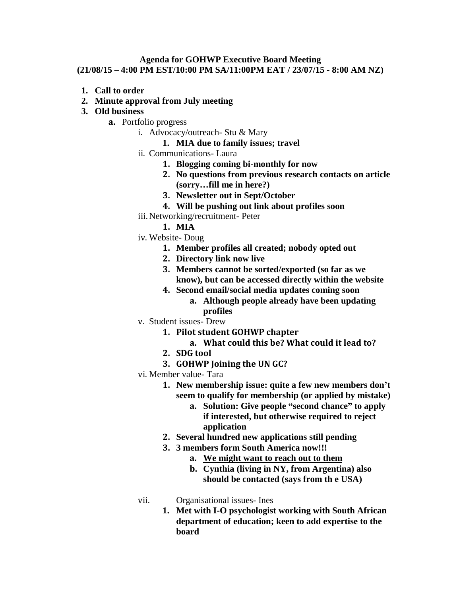## **Agenda for GOHWP Executive Board Meeting (21/08/15 – 4:00 PM EST/10:00 PM SA/11:00PM EAT / 23/07/15 - 8:00 AM NZ)**

- **1. Call to order**
- **2. Minute approval from July meeting**
- **3. Old business**
	- **a.** Portfolio progress
		- i. Advocacy/outreach- Stu & Mary
			- **1. MIA due to family issues; travel**
		- ii. Communications- Laura
			- **1. Blogging coming bi-monthly for now**
			- **2. No questions from previous research contacts on article (sorry…fill me in here?)**
			- **3. Newsletter out in Sept/October**
			- **4. Will be pushing out link about profiles soon**
		- iii. Networking/recruitment- Peter
			- **1. MIA**
		- iv. Website- Doug
			- **1. Member profiles all created; nobody opted out**
			- **2. Directory link now live**
			- **3. Members cannot be sorted/exported (so far as we know), but can be accessed directly within the website**
			- **4. Second email/social media updates coming soon**
				- **a. Although people already have been updating profiles**
		- v. Student issues- Drew
			- **1. Pilot student GOHWP chapter**
				- **a. What could this be? What could it lead to?**
			- **2. SDG tool**
			- **3. GOHWP Joining the UN GC?**
		- vi. Member value- Tara
			- **1. New membership issue: quite a few new members don't seem to qualify for membership (or applied by mistake)**
				- **a. Solution: Give people "second chance" to apply if interested, but otherwise required to reject application**
			- **2. Several hundred new applications still pending**
			- **3. 3 members form South America now!!!**
				- **a. We might want to reach out to them**
				- **b. Cynthia (living in NY, from Argentina) also should be contacted (says from th e USA)**
		-
- vii. Organisational issues- Ines
	- **1. Met with I-O psychologist working with South African department of education; keen to add expertise to the board**